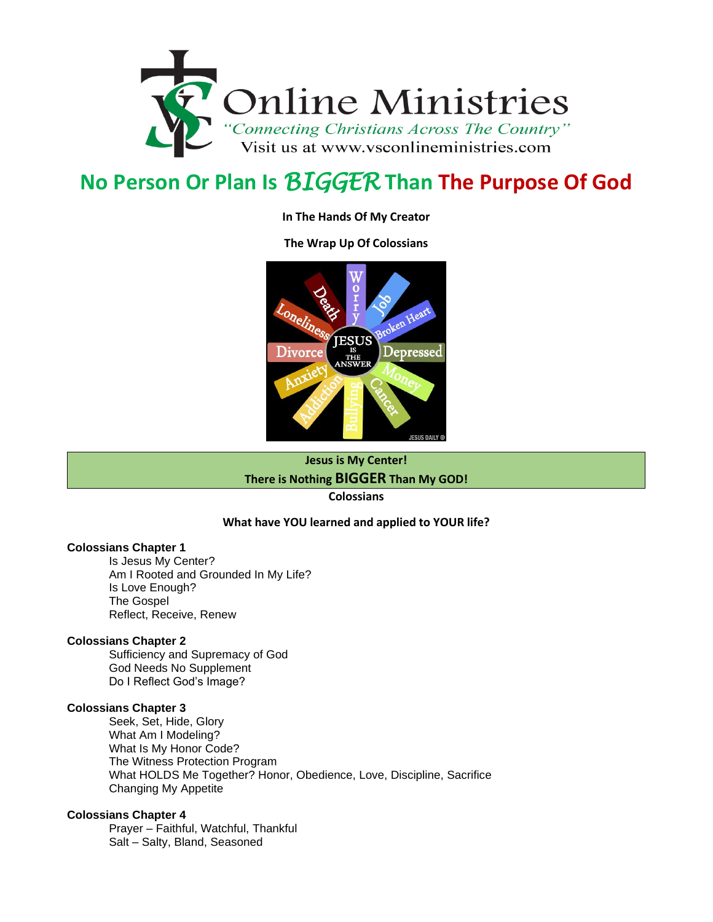

# **No Person Or Plan Is** *BIGGER* **Than The Purpose Of God**

#### **In The Hands Of My Creator**

#### **The Wrap Up Of Colossians**



**Jesus is My Center!**

**There is Nothing BIGGER Than My GOD!**

**Colossians**

#### **What have YOU learned and applied to YOUR life?**

#### **Colossians Chapter 1**

Is Jesus My Center? Am I Rooted and Grounded In My Life? Is Love Enough? The Gospel Reflect, Receive, Renew

#### **Colossians Chapter 2**

Sufficiency and Supremacy of God God Needs No Supplement Do I Reflect God's Image?

#### **Colossians Chapter 3**

Seek, Set, Hide, Glory What Am I Modeling? What Is My Honor Code? The Witness Protection Program What HOLDS Me Together? Honor, Obedience, Love, Discipline, Sacrifice Changing My Appetite

#### **Colossians Chapter 4**

Prayer – Faithful, Watchful, Thankful Salt – Salty, Bland, Seasoned